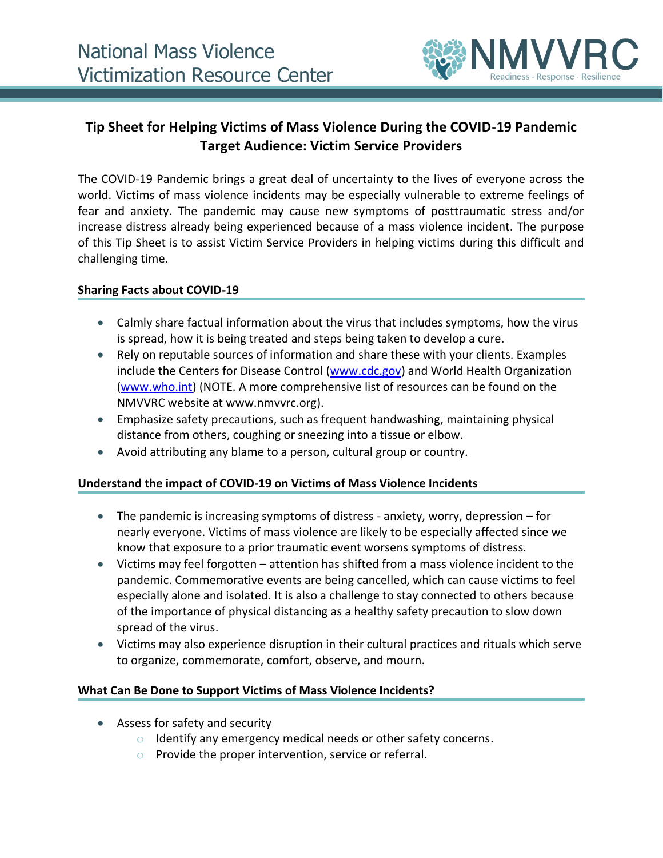

# **Tip Sheet for Helping Victims of Mass Violence During the COVID-19 Pandemic Target Audience: Victim Service Providers**

The COVID-19 Pandemic brings a great deal of uncertainty to the lives of everyone across the world. Victims of mass violence incidents may be especially vulnerable to extreme feelings of fear and anxiety. The pandemic may cause new symptoms of posttraumatic stress and/or increase distress already being experienced because of a mass violence incident. The purpose of this Tip Sheet is to assist Victim Service Providers in helping victims during this difficult and challenging time.

#### **Sharing Facts about COVID-19**

- Calmly share factual information about the virus that includes symptoms, how the virus is spread, how it is being treated and steps being taken to develop a cure.
- Rely on reputable sources of information and share these with your clients. Examples include the Centers for Disease Control [\(www.cdc.gov\)](http://www.cdc.gov/) and World Health Organization [\(www.who.int\)](http://www.who.int/) (NOTE. A more comprehensive list of resources can be found on the NMVVRC website at www.nmvvrc.org).
- Emphasize safety precautions, such as frequent handwashing, maintaining physical distance from others, coughing or sneezing into a tissue or elbow.
- Avoid attributing any blame to a person, cultural group or country.

## **Understand the impact of COVID-19 on Victims of Mass Violence Incidents**

- The pandemic is increasing symptoms of distress anxiety, worry, depression for nearly everyone. Victims of mass violence are likely to be especially affected since we know that exposure to a prior traumatic event worsens symptoms of distress.
- Victims may feel forgotten attention has shifted from a mass violence incident to the pandemic. Commemorative events are being cancelled, which can cause victims to feel especially alone and isolated. It is also a challenge to stay connected to others because of the importance of physical distancing as a healthy safety precaution to slow down spread of the virus.
- Victims may also experience disruption in their cultural practices and rituals which serve to organize, commemorate, comfort, observe, and mourn.

#### **What Can Be Done to Support Victims of Mass Violence Incidents?**

- Assess for safety and security
	- o Identify any emergency medical needs or other safety concerns.
	- o Provide the proper intervention, service or referral.